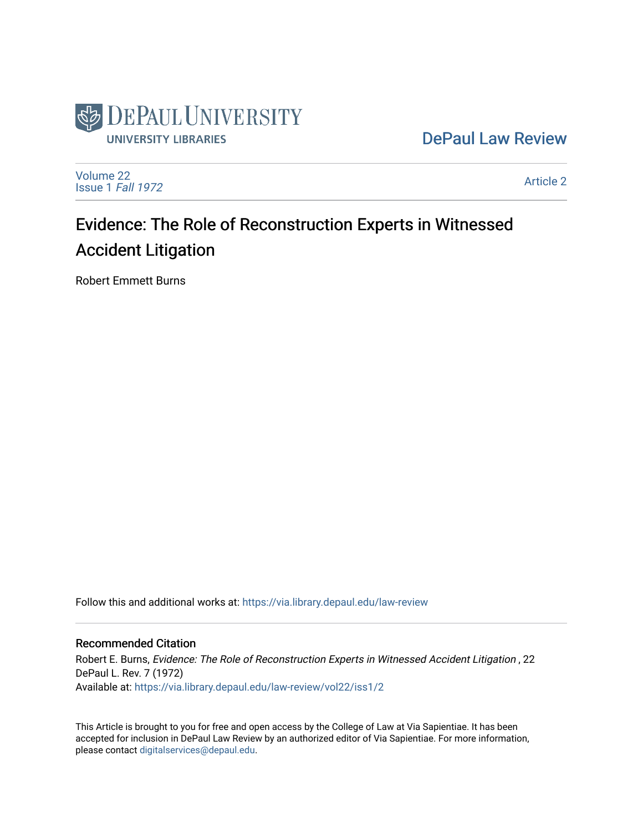

[DePaul Law Review](https://via.library.depaul.edu/law-review) 

[Volume 22](https://via.library.depaul.edu/law-review/vol22) [Issue 1](https://via.library.depaul.edu/law-review/vol22/iss1) Fall 1972

[Article 2](https://via.library.depaul.edu/law-review/vol22/iss1/2) 

# Evidence: The Role of Reconstruction Experts in Witnessed Accident Litigation

Robert Emmett Burns

Follow this and additional works at: [https://via.library.depaul.edu/law-review](https://via.library.depaul.edu/law-review?utm_source=via.library.depaul.edu%2Flaw-review%2Fvol22%2Fiss1%2F2&utm_medium=PDF&utm_campaign=PDFCoverPages) 

## Recommended Citation

Robert E. Burns, Evidence: The Role of Reconstruction Experts in Witnessed Accident Litigation , 22 DePaul L. Rev. 7 (1972) Available at: [https://via.library.depaul.edu/law-review/vol22/iss1/2](https://via.library.depaul.edu/law-review/vol22/iss1/2?utm_source=via.library.depaul.edu%2Flaw-review%2Fvol22%2Fiss1%2F2&utm_medium=PDF&utm_campaign=PDFCoverPages) 

This Article is brought to you for free and open access by the College of Law at Via Sapientiae. It has been accepted for inclusion in DePaul Law Review by an authorized editor of Via Sapientiae. For more information, please contact [digitalservices@depaul.edu.](mailto:digitalservices@depaul.edu)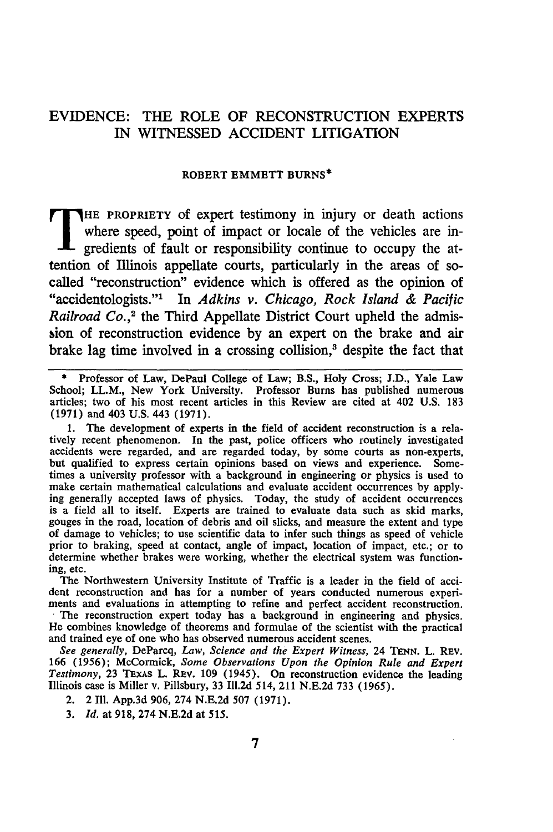## EVIDENCE: THE ROLE OF **RECONSTRUCTION** EXPERTS IN **WITNESSED** ACCIDENT **LITIGATION**

### ROBERT EMMETT BURNS\*

HE PROPRIETY of expert testimony in injury or death actions where speed, point of impact or locale of the vehicles are **in**gredients of fault or responsibility continue to occupy the attention of Illinois appellate courts, particularly in the areas of socalled "reconstruction" evidence which is offered as the opinion of "accidentologists."' In *Adkins v. Chicago, Rock Island & Pacific Railroad Co.*,<sup>2</sup> the Third Appellate District Court upheld the admission of reconstruction evidence by an expert on the brake and air brake lag time involved in a crossing collision,<sup>3</sup> despite the fact that

**\*** Professor of Law, DePaul College of Law; B.S., Holy Cross; J.D., Yale Law School; LL.M., New York University. Professor Burns has published numerous articles; two of his most recent articles in this Review are cited at 402 U.S. 183 (1971) and 403 U.S. 443 (1971).

**1.** The development of experts in the field of accident reconstruction is a relatively recent phenomenon. In the past, police officers who routinely investigated accidents were regarded, and are regarded today, **by** some courts as non-experts, but qualified to express certain opinions based on views and experience. Sometimes a university professor with a background in engineering or physics is used to make certain mathematical calculations and evaluate accident occurrences **by** applying generally accepted laws of physics. Today, the study of accident occurrences is a field all to itself. Experts are trained to evaluate data such as skid marks, gouges in the road, location of debris and oil slicks, and measure the extent and type of damage to vehicles; to use scientific data to infer such things as speed of vehicle prior to braking, speed at contact, angle of impact, location of impact, etc.; or to determine whether brakes were working, whether the electrical system was functioning, etc.

The Northwestern University Institute of Traffic is a leader in the field of accident reconstruction and has for a number of years conducted numerous experiments and evaluations in attempting to refine and perfect accident reconstruction.

The reconstruction expert today has a background in engineering and physics. He combines knowledge of theorems and formulae of the scientist with the practical and trained eye of one who has observed numerous accident scenes.

*See generally,* DeParcq, *Law, Science and the Expert Witness,* 24 **TENN.** L. REv. **166 (1956);** McCormick, *Some Observations Upon the Opinion Rule and Expert Testimony,* **23** TExAs L. **REv. 109** (1945). On reconstruction evidence the leading Illinois case is Miller v. Pillsbury, **33 11.2d** 514, 211 **N.E.2d 733 (1965).**

2. 2 **Ill. App.3d 906,** 274 **N.E.2d 507 (1971).**

**3.** *Id.* at **918,** 274 **N.E.2d** at **515.**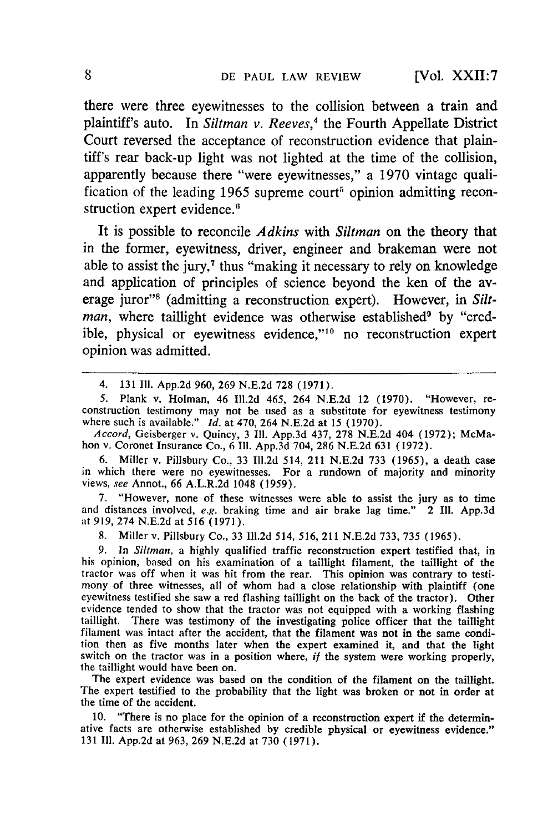there were three eyewitnesses to the collision between a train and plaintiff's auto. In *Siltman v. Reeves*,<sup>4</sup> the Fourth Appellate District Court reversed the acceptance of reconstruction evidence that plaintiff's rear back-up light was not lighted at the time of the collision, apparently because there "were eyewitnesses," a **1970** vintage qualification of the leading 1965 supreme court<sup>5</sup> opinion admitting reconstruction expert evidence.<sup>6</sup>

It is possible to reconcile *Adkins* with *Siltman* on the theory that in the former, eyewitness, driver, engineer and brakeman were not able to assist the jury, $\tau$  thus "making it necessary to rely on knowledge and application of principles of science beyond the ken of the average juror"<sup>8</sup> (admitting a reconstruction expert). However, in Siltman, where taillight evidence was otherwise established<sup>9</sup> by "credible, physical or eyewitness evidence,"<sup>10</sup> no reconstruction expert opinion was admitted.

*Accord,* Geisberger v. Quincy, 3 **111.** App.3d 437, 278 N.E.2d 404 (1972); McMahon v. Coronet Insurance Co., 6 Il1. App.3d 704, 286 N.E.2d 631 (1972).

6. Miller v. Pillsbury Co., 33 **1ll.2d** 514, 211 N.E.2d 733 (1965), a death case in which there were no eyewitnesses. For a rundown of majority and minority views, see Annot., 66 A.L.R.2d 1048 (1959).

7. "However, none of these witnesses were able to assist the jury as to time and distances involved, *e.g.* braking time and air brake lag time." 2 Ill. **App.3d** at 919, 274 N.E.2d at 516 (1971).

8. Miller v. Pillsbury Co., 33 11l.2d 514, 516, 211 N.E.2d 733, 735 (1965).

**9.** In *Sitman,* a highly qualified traffic reconstruction expert testified that, in his opinion, based on his examination of a taillight filament, the taillight of the tractor was off when it was hit from the rear. This opinion was contrary to testimony of three witnesses, all of whom had a close relationship with plaintiff (one eyewitness testified she saw a red flashing taillight on the back of the tractor). Other evidence tended to show that the tractor was not equipped with a working flashing taillight. There was testimony of the investigating police officer that the taillight filament was intact after the accident, that the filament was not in the same condition then as five months later when the expert examined it, and that the light switch on the tractor was in a position where, *if* the system were working properly, the taillight would have been on.

The expert evidence was based on the condition of the filament on the taillight. The expert testified to the probability that the light was broken or not in order at the time of the accident.

**10.** "There is no place for the opinion of a reconstruction expert if the determinative facts are otherwise established by credible physical or eyewitness evidence." 131 **II1.** App.2d at 963, 269 N.E.2d at **730** (1971).

<sup>4. 131</sup> II. App.2d 960, 269 N.E.2d 728 (1971).

<sup>5.</sup> Plank v. Holman, 46 ll.2d 465, 264 N.E.2d 12 (1970). "However, re- construction testimony may not be used as a substitute for eyewitness testimony where such is available." *Id.* at 470, 264 N.E.2d at 15 (1970).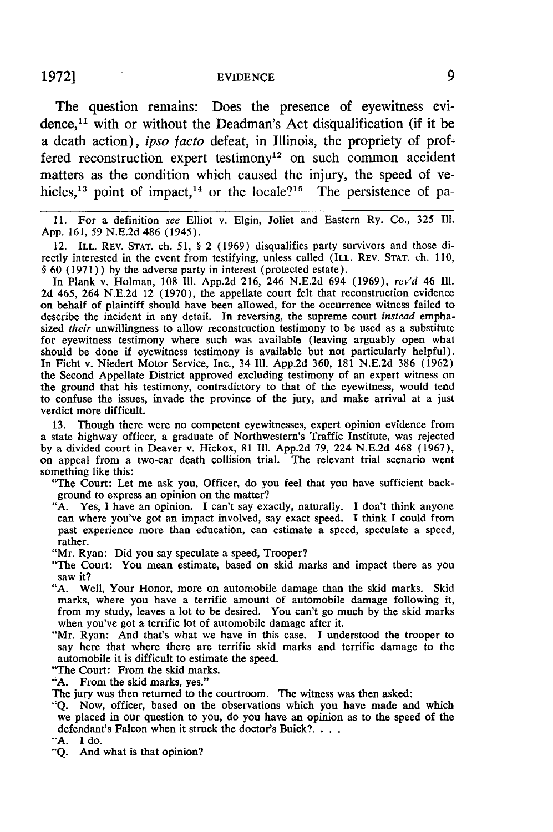#### **1972]** EVIDENCE

The question remains: Does the presence of eyewitness evidence, $11$  with or without the Deadman's Act disqualification (if it be a death action), *ipso facto* defeat, in Illinois, the propriety of proffered reconstruction expert testimony<sup>12</sup> on such common accident matters as the condition which caused the injury, the speed of vehicles,<sup>13</sup> point of impact,<sup>14</sup> or the locale?<sup>15</sup> The persistence of pa-

**11.** For a definition see Elliot v. Elgin, Joliet and Eastern Ry. Co., 325 Ill. App. 161, 59 N.E.2d 486 (1945).

12. ILL. REV. **STAT.** ch. 51, § 2 (1969) disqualifies party survivors and those directly interested in the event from testifying, unless called (ILL. REV. **STAT.** ch. 110, § 60 (1971)) by the adverse party in interest (protected estate).

In Plank v. Holman, 108 Ill. App.2d 216, 246 N.E.2d 694 (1969), *rev'd* 46 Ill. 2d 465, 264 N.E.2d 12 (1970), the appellate court felt that reconstruction evidence on behalf of plaintiff should have been allowed, for the occurrence witness failed to describe the incident in any detail. In reversing, the supreme court *instead* emphasized *their* unwillingness to allow reconstruction testimony to be used as a substitute for eyewitness testimony where such was available (leaving arguably open what should be done if eyewitness testimony is available but not particularly helpful). In Ficht v. Niedert Motor Service, Inc., 34 Ill. App.2d 360, 181 N.E.2d 386 (1962) the Second Appellate District approved excluding testimony of an expert witness on the ground that his testimony, contradictory to that of the eyewitness, would tend to confuse the issues, invade the province of the jury, and make arrival at a just verdict more difficult.

13. Though there were no competent eyewitnesses, expert opinion evidence from a state highway officer, a graduate of Northwestern's Traffic Institute, was rejected by a divided court in Deaver v. Hickox, 81 **111.** App.2d 79, 224 N.E.2d 468 (1967), on appeal from a two-car death collision trial. The relevant trial scenario went something like this:

"The Court: Let me ask you, Officer, do you feel that you have sufficient background to express an opinion on the matter?

"A. Yes, I have an opinion. I can't say exactly, naturally. I don't think anyone can where you've got an impact involved, say exact speed. I think I could from past experience more than education, can estimate a speed, speculate a speed, rather.

"Mr. Ryan: Did you say speculate a speed, Trooper?

"The Court: You mean estimate, based on skid marks and impact there as you saw it?

"A. Well, Your Honor, more on automobile damage than the skid marks. Skid marks, where you have a terrific amount of automobile damage following it, from my study, leaves a lot to be desired. You can't go much by the skid marks when you've got a terrific lot of automobile damage after it.

"Mr. Ryan: And that's what we have in this case. I understood the trooper to say here that where there are terrific skid marks and terrific damage to the automobile it is difficult to estimate the speed.

"The Court: From the skid marks.

"A. From the skid marks, yes."

The jury was then returned to the courtroom. The witness was then asked:

**"Q.** Now, officer, based on the observations which you have made and which we placed in our question to you, do you have an opinion as to the speed of the defendant's Falcon when it struck the doctor's Buick? **...**

**"'A.** I do. **"Q.** And what is that opinion?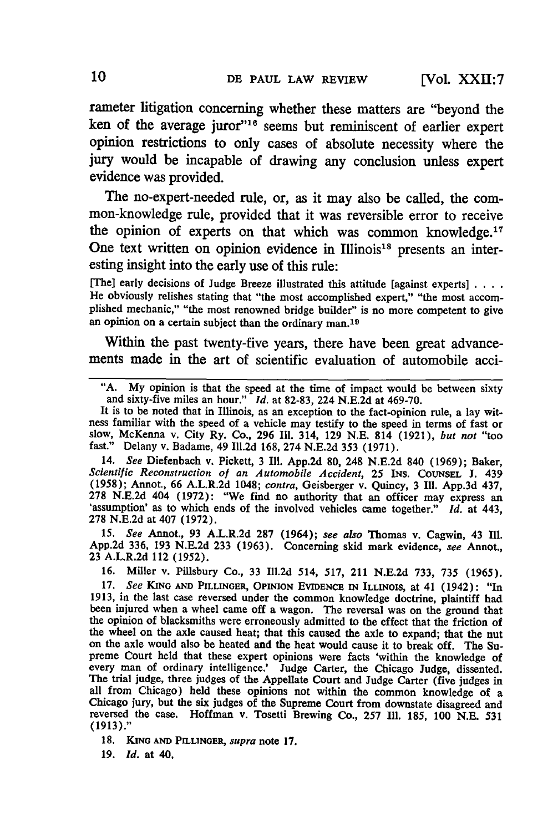rameter litigation concerning whether these matters are "beyond the ken of the average juror"<sup>16</sup> seems but reminiscent of earlier exper opinion restrictions to only cases of absolute necessity where the jury would be incapable of drawing any conclusion unless expert evidence was provided.

The no-expert-needed rule, or, as it may also be called, the common-knowledge rule, provided that it was reversible error to receive the opinion of experts on that which was common knowledge.<sup>17</sup> One text written on opinion evidence in Illinois<sup>18</sup> presents an interesting insight into the early use of this rule:

[The] early decisions of Judge Breeze illustrated this attitude [against experts] **....** He obviously relishes stating that "the most accomplished expert," "the most accomplished mechanic," "the most renowned bridge builder" is no more competent to give an opinion on a certain subject than the ordinary man. <sup>19</sup>

Within the past twenty-five years, there have been great advancements made in the art of scientific evaluation of automobile acci-

14. *See* Diefenbach v. Pickett, 3 Ill. App.2d 80, 248 N.E.2d 840 **(1969);** Baker, *Scientific Reconstruction of an Automobile Accident,* **25** INS. COUNSEL **J.** 439 **(1958);** Annot., **66** A.L.R.2d 1048; *contra,* Geisberger v. Quincy, 3 **Ill. App.3d** 437, **278 N.E.2d 404 (1972): "We find no authority that an officer may express an 'assumption' as to which ends of the involved vehicles came together."** *Id.* **at 443, 278 N.E.2d** at 407 **(1972).**

**15.** *See* Annot., **93** A.L.R.2d **287** (1964); *see also* Thomas v. Cagwin, 43 **Ill. App.2d 336, 193 N.E.2d 233 (1963).** Concerning skid mark evidence, *see* Annot., **23** A.L.R.2d 112 **(1952).**

**16.** Miller v. Pillsbury Co., **33 Il.2d** 514, **517,** 211 **N.E.2d 733, 735 (1965).**

**17.** *See* **KING AND** PILLINGER, **OPINION EVIDENCE IN ILLINOIS,** at 41 (1942): "In 1913, in the last case reversed under the common knowledge doctrine, plaintiff had been injured when a wheel came off a wagon. The reversal was on the ground that the opinion of blacksmiths were erroneously admitted to the effect that the friction of the wheel on the axle caused heat; that this caused the axle to expand; that the nut on the axle would also be heated and the heat would cause it to break off. The Supreme Court held that these expert opinions were facts 'within the knowledge of every man of ordinary intelligence.' Judge Carter, the Chicago Judge, dissented. The trial judge, three judges of the Appellate Court and Judge Carter (five judges in all from Chicago) held these opinions not within the common knowledge of a Chicago jury, but the six judges of the Supreme Court from downstate disagreed and reversed the case. Hoffman v. Tosetti Brewing Co., **257 Ill. 185, 100 N.E. 531 (1913)."**

**18. KING AND PELLINGER,** *supra* note **17.**

**19.** *id.* at 40.

<sup>&</sup>quot;A. My opinion is that the speed at the time of impact would be between sixty A. My option is that the speed at the three or measurements.<br>and sixty-five miles an hour." *Id.* at 82-83, 224 N.E.2d at 469-70.<br>It is to be noted that in Illinois, as an exception to the fact-opinion rule, a lay wit-

ness familiar with the speed of a vehicle may testify to the speed in terms of fast or slow, McKenna v. City Ry. Co., 296 Ill. 314, 129 N.E. 814 (1921), but not "too fast." Delany v. Badame, 49 Ill.2d 168, 274 N.E.2d 353 (1971).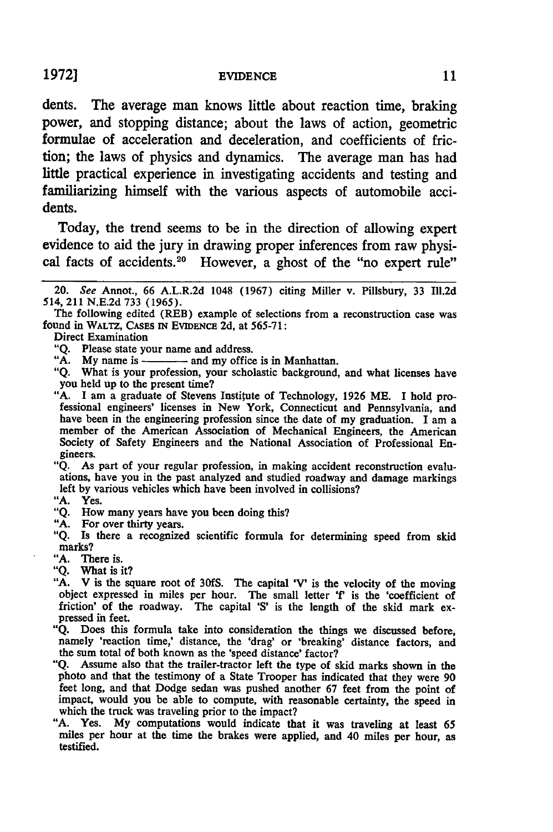dents. The average man knows little about reaction time, braking power, and stopping distance; about the laws of action, geometric formulae of acceleration and deceleration, and coefficients of fric**tion;** the laws of physics and dynamics. The average man has had little practical experience in investigating accidents and testing and familiarizing himself with the various aspects of automobile accidents.

Today, the trend seems to be in the direction of allowing expert evidence to aid the jury in drawing proper inferences from raw physical facts of accidents.<sup>20</sup> However, a ghost of the "no expert rule"

Direct Examination

"Q. Please state your name and address.

"A. My name is **A. My** name is  $\frac{1}{2}$  and my office is in Manhattan.

**"Q.** What is your profession, your scholastic background, and what licenses have you held up to the present time?

"Q. As part of your regular profession, in making accident reconstruction evaluations, have you in the past analyzed and studied roadway and damage markings left by various vehicles which have been involved in collisions?

**"A.** Yes.

**"Q.** How many years have you been doing this?

**"A.** For over thirty years.

- "A. There is.
- "Q. What is it?

"Q. Does this formula take into consideration the things we discussed before, namely 'reaction time,' distance, the 'drag' or 'breaking' distance factors, and the sum total of both known as the 'speed distance' factor?

- "Q. Assume also that the trailer-tractor left the type of skid marks shown in the photo and that the testimony of a State Trooper has indicated that they were **90** feet long, and that Dodge sedan was pushed another **67** feet from the point of impact, would you be able to compute, with reasonable certainty, the speed in which the truck was traveling prior to the impact?
- "A. Yes. My computations would indicate that it was traveling at least **65** miles per hour at the time the brakes were applied, and 40 miles per hour, as testified.

<sup>20.</sup> *See* Annot., 66 A.L.R.2d 1048 (1967) citing Miller v. Pillsbury, 33 Ill.2d 514, 211 N.E.2d 733 (1965).

The following edited (REB) example of selections from a reconstruction case was found in WALTZ, CASES **IN** EvIDENcE 2d, at 565-71:

<sup>&</sup>quot;A. I am a graduate of Stevens Institute of Technology, 1926 ME. I hold pro- fessional engineers' licenses in New York, Connecticut and Pennsylvania, and fessional engineers' licenses in New York, Connecticut and Pennsylvania, and have been in the engineering profession since the date of my graduation. I am a member of the American Association of Mechanical Engineers, the A Society of Safety Engineers and the National Association of Professional Engineers.

**<sup>&</sup>quot;Q.** Is there a recognized scientific formula for determining speed from skid marks?

**<sup>&</sup>quot;A.** V is the square root of 30fS. The capital **'V'** is the velocity of the moving object expressed in miles per hour. The small letter 'f' is the 'coefficient of friction' of the roadway. The capital **'S'** is the length of the skid mark ex- pressed in feet.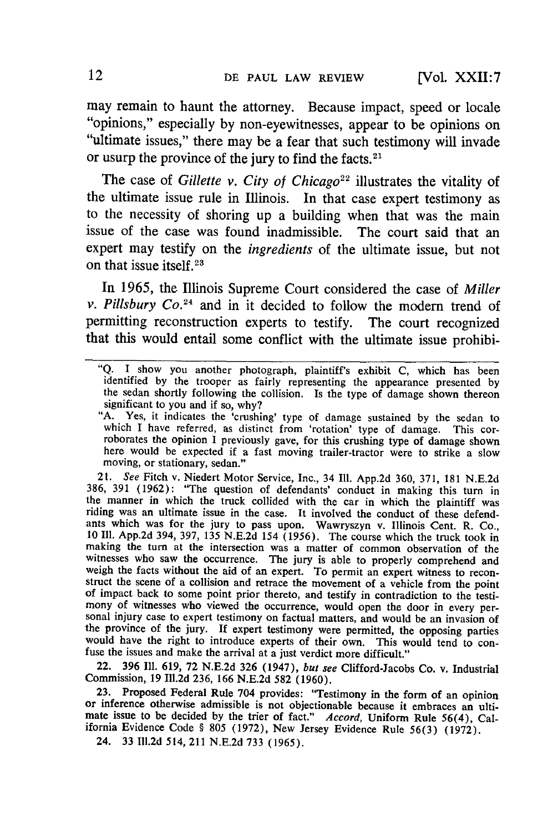may remain to haunt the attorney. Because impact, speed or locale "opinions," especially **by** non-eyewitnesses, appear to be opinions on "ultimate issues," there may be a fear that such testimony will invade or usurp the province of the jury to find the facts. $2<sup>1</sup>$ 

The case of *Gillette v. City of Chicago*<sup>22</sup> illustrates the vitality of the ultimate issue rule in Illinois. In that case expert testimony as to the necessity of shoring up a building when that was the main issue of the case was found inadmissible. The court said that an expert may testify on the *ingredients* of the ultimate issue, but not on that issue itself. <sup>23</sup>

In **1965,** the Illinois Supreme Court considered the case of *Miller v. Pillsbury Co.24* and in it decided to follow the modem trend of permitting reconstruction experts to testify. The court recognized that this would entail some conflict with the ultimate issue prohibi-

"A. Yes, it indicates the 'crushing' type of damage sustained by the sedan to which I have referred, as distinct from 'rotation' type of damage. This corroborates the opinion I previously gave, for this crushing type of damage shown here would be expected if a fast moving trailer-tractor were to strike a slow moving, or stationary, sedan."

21. See Fitch v. Niedert Motor Service, Inc., 34 Ill. App.2d 360, 371, 181 N.E.2d 386, 391 (1962): "The question of defendants' conduct in making this turn in the manner in which the truck collided with the car in which the plaintiff was riding was an ultimate issue in the case. It involved the conduct of these defendants which was for the jury to pass upon. Wawryszyn v. Illinois Cent. R. Co., <sup>10</sup>**111.** App.2d 394, 397, 135 N.E.2d 154 (1956). The course which the truck took in making the turn at the intersection was a matter of common observation of the witnesses who saw the occurrence. The jury is able to properly comprehend and weigh the facts without the aid of an expert. To permit an expert witness to reconstruct the scene of a collision and retrace the movement of a vehicle from the point of impact back to some point prior thereto, and testify of impact back to some point prior thereto, and testify in contradiction to the testimony of witnesses who viewed the occurrence, would open the door in every personal injury case to expert testimony on factual matters, an the province of the jury. **If** expert testimony were permitted, the opposing parties would have the right to introduce experts of their own. This would tend to con- fuse the issues and make the arrival at a just verdict more difficult."

22. 396 **Ill.** 619, **72** N.E.2d 326 (1947), *but* see Clifford-Jacobs Co. v. Industrial Commission, **19** Ill.2d 236, 166 N.E.2d **582** (1960).

**23.** Proposed Federal Rule 704 provides: "Testimony in the form of an opinion or inference otherwise admissible is not objectionable because it embraces an ultimate issue to be decided **by** the trier of fact." *Accord,* Uniform Rule 56(4), California Evidence Code § **805** (1972), New Jersey Evidence Rule 56(3) (1972).

24. **33** Ill.2d 514, 211 N.E.2d **733** (1965).

<sup>&</sup>quot;Q. I show you another photograph, plaintiff's exhibit C, which has been the sedan shortly following the collision. Is the type of damage shown thereon significant to you and if so, why?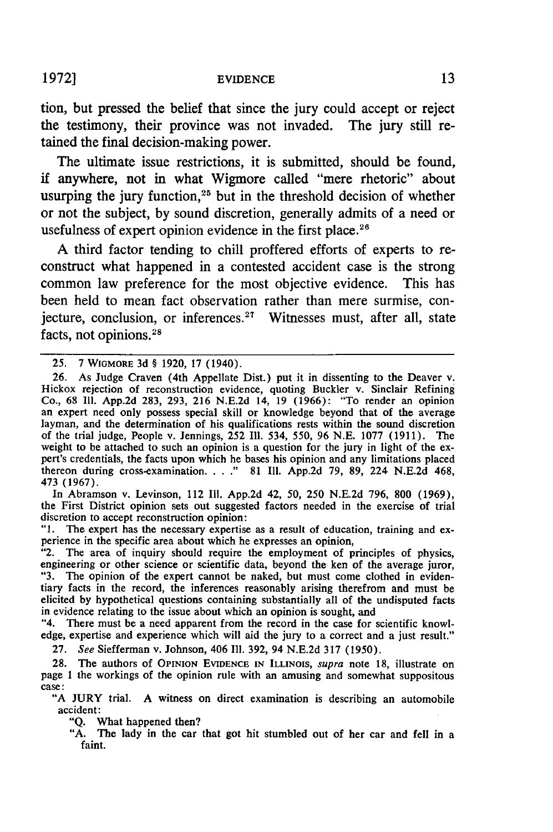tion, but pressed the belief that since the jury could accept or reject the testimony, their province was not invaded. The jury still retained the final decision-making power.

The ultimate issue restrictions, it is submitted, should be found, if anywhere, not in what Wigmore called "mere rhetoric" about usurping the jury function, $25$  but in the threshold decision of whether or not the subject, by sound discretion, generally admits of a need or usefulness of expert opinion evidence in the first place.<sup>26</sup>

A third factor tending to chill proffered efforts of experts to reconstruct what happened in a contested accident case is the strong common law preference for the most objective evidence. This has been held to mean fact observation rather than mere surmise, conjecture, conclusion, or inferences.<sup>27</sup> Witnesses must, after all, state facts, not opinions.<sup>28</sup>

In Abramson v. Levinson, 112 Ill. App.2d 42, 50, 250 N.E.2d 796, 800 (1969), the First District opinion sets out suggested factors needed in the exercise of trial

discretion to accept reconstruction opinion:<br>"1. The expert has the necessary expertise as a result of education, training and ex-<br>perience in the specific area about which he expresses an opinion,

"2. The area of inquiry should require the employment of principles of physics, engineering or other science or scientific data, beyond the ken of the average juror, "3. The opinion of the expert cannot be naked, but must come clothed in evidentiary facts in the record, the inferences reasonably arising therefrom and must be elicited by hypothetical questions containing substantially all of the undisputed facts in evidence relating to the issue about which an opinion is sought, and

"4. There must be a need apparent from the record in the case for scientific knowledge, expertise and experience which will aid the jury to a correct and a just result."

27. *See* Siefferman v. Johnson, 406 **Il1.** 392, 94 N.E.2d 317 (1950).

**28.** The authors of OPINION EVIDENCE IN ILLINOIS, supra note 18, illustrate on page 1 the workings of the opinion rule with an amusing and somewhat suppositous case:

"A JURY trial. A witness on direct examination is describing an automobile accident:

"Q. What happened then?

"A. The lady in the car that got hit stumbled out of her car and fell in a faint.

<sup>25. 7</sup> WIGMORE 3d § 1920, 17 (1940).

<sup>26.</sup> As Judge Craven (4th Appellate Dist.) put it in dissenting to the Deaver v. Hickox rejection of reconstruction evidence, quoting Buckler v. Sinclair Refining Co., 68 I1l. App.2d 283, 293, 216 N.E.2d 14, 19 (1966): "To render an opinion an expert need only possess special skill or knowledge beyond that of the average an expert need only possess special skill or knowledge beyond that of the average layman, and the determination of his qualifications rests within the sound discretion of the trial judge, People v. Jennings, 252 Ill. 534, 550, 96 N.E. 1077 (1911). The weight to be attached to such an opinion is a question for the jury in light of the ex-<br>pert's credentials, the facts upon which he bases his opinion and any limitations placed thereon during cross-examination **.......** 81 Ill. App.2d 79, 89, 224 N.E.2d 468, 473 (1967).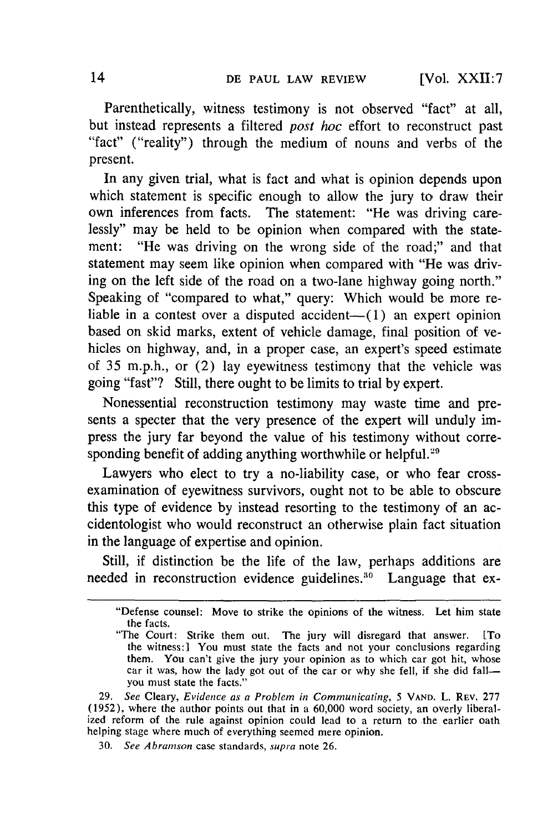[Vol. XXII:7

Parenthetically, witness testimony is not observed "fact" at all, but instead represents a filtered *post hoc* effort to reconstruct past "fact" ("reality") through the medium of nouns and verbs of the present.

In any given trial, what is fact and what is opinion depends upon which statement is specific enough to allow the jury to draw their own inferences from facts. The statement: "He was driving carelessly" may be held to be opinion when compared with the statement: "He was driving on the wrong side of the road;" and that statement may seem like opinion when compared with "He was driving on the left side of the road on a two-lane highway going north." Speaking of "compared to what," query: Which would be more reliable in a contest over a disputed accident- $(1)$  an expert opinion based on skid marks, extent of vehicle damage, final position of vehicles on highway, and, in a proper case, an expert's speed estimate of 35 m.p.h., or (2) lay eyewitness testimony that the vehicle was going "fast"? Still, there ought to be limits to trial by expert.

Nonessential reconstruction testimony may waste time and presents a specter that the very presence of the expert will unduly impress the jury far beyond the value of his testimony without corresponding benefit of adding anything worthwhile or helpful.<sup>29</sup>

Lawyers who elect to try a no-liability case, or who fear crossexamination of eyewitness survivors, ought not to be able to obscure this type of evidence by instead resorting to the testimony of an accidentologist who would reconstruct an otherwise plain fact situation in the language of expertise and opinion.

Still, if distinction be the life of the law, perhaps additions are needed in reconstruction evidence guidelines.<sup>30</sup> Language that ex-

<sup>&</sup>quot;Defense counsel: Move to strike the opinions of the witness. Let him state the facts.

<sup>&</sup>quot;The Court: Strike them out. The jury will disregard that answer. [To the witness:] You must state the facts and not your conclusions regarding them. You can't give the jury your opinion as to which car got hit, whose car it was, how the lady got out of the car or why she fell, if she did fallyou must state the facts."

<sup>29.</sup> See Cleary, Evidence as a *Problem in* Communicating, **5 VAND.** L. REV. 277 (1952), where the author points out that in a 60,000 word society, an overly liberalized reform of the rule against opinion could lead to a return to the earlier oath helping stage where much of everything seemed mere opinion.

**<sup>30.</sup>** *See Abramson* case standards, *supra* note 26.